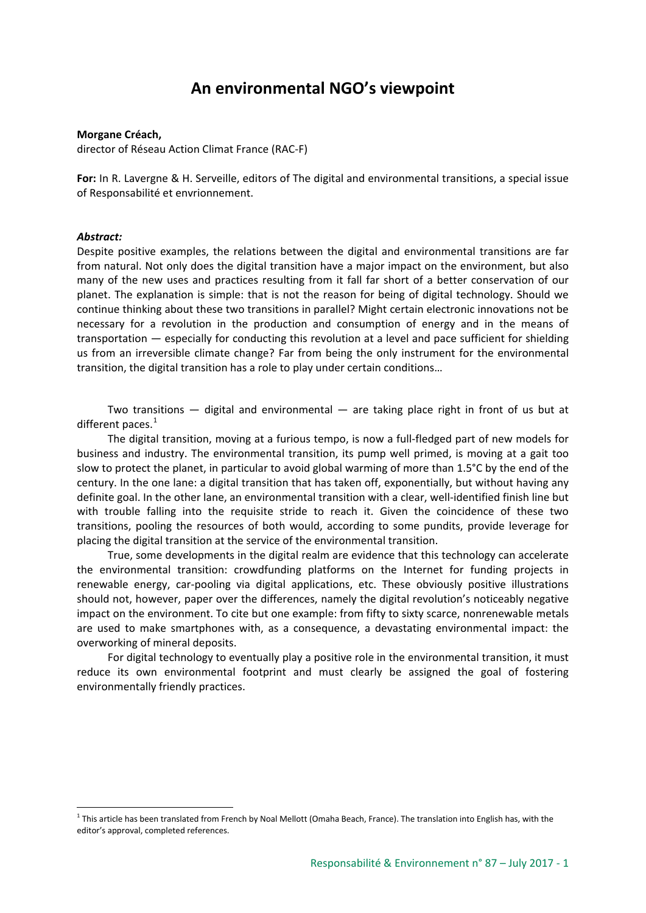# **An environmental NGO's viewpoint**

#### **Morgane Créach,**

director of Réseau Action Climat France (RAC-F)

**For:** In R. Lavergne & H. Serveille, editors of The digital and environmental transitions, a special issue of Responsabilité et envrionnement.

#### *Abstract:*

Despite positive examples, the relations between the digital and environmental transitions are far from natural. Not only does the digital transition have a major impact on the environment, but also many of the new uses and practices resulting from it fall far short of a better conservation of our planet. The explanation is simple: that is not the reason for being of digital technology. Should we continue thinking about these two transitions in parallel? Might certain electronic innovations not be necessary for a revolution in the production and consumption of energy and in the means of transportation — especially for conducting this revolution at a level and pace sufficient for shielding us from an irreversible climate change? Far from being the only instrument for the environmental transition, the digital transition has a role to play under certain conditions…

Two transitions  $-$  digital and environmental  $-$  are taking place right in front of us but at different paces. $1$ 

The digital transition, moving at a furious tempo, is now a full-fledged part of new models for business and industry. The environmental transition, its pump well primed, is moving at a gait too slow to protect the planet, in particular to avoid global warming of more than 1.5°C by the end of the century. In the one lane: a digital transition that has taken off, exponentially, but without having any definite goal. In the other lane, an environmental transition with a clear, well-identified finish line but with trouble falling into the requisite stride to reach it. Given the coincidence of these two transitions, pooling the resources of both would, according to some pundits, provide leverage for placing the digital transition at the service of the environmental transition.

True, some developments in the digital realm are evidence that this technology can accelerate the environmental transition: crowdfunding platforms on the Internet for funding projects in renewable energy, car-pooling via digital applications, etc. These obviously positive illustrations should not, however, paper over the differences, namely the digital revolution's noticeably negative impact on the environment. To cite but one example: from fifty to sixty scarce, nonrenewable metals are used to make smartphones with, as a consequence, a devastating environmental impact: the overworking of mineral deposits.

For digital technology to eventually play a positive role in the environmental transition, it must reduce its own environmental footprint and must clearly be assigned the goal of fostering environmentally friendly practices.

<span id="page-0-0"></span> $1$  This article has been translated from French by Noal Mellott (Omaha Beach, France). The translation into English has, with the editor's approval, completed references.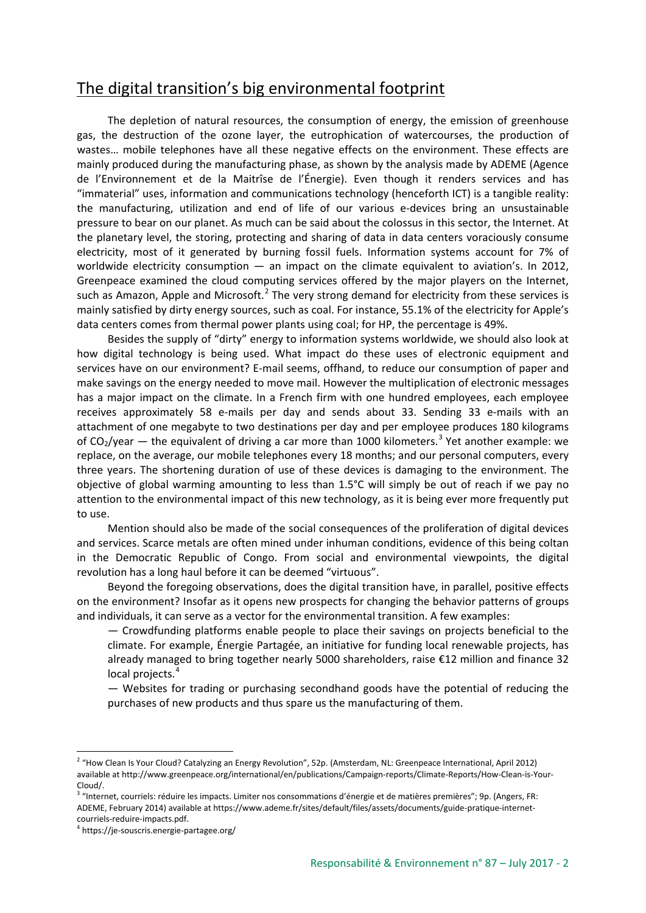# The digital transition's big environmental footprint

The depletion of natural resources, the consumption of energy, the emission of greenhouse gas, the destruction of the ozone layer, the eutrophication of watercourses, the production of wastes… mobile telephones have all these negative effects on the environment. These effects are mainly produced during the manufacturing phase, as shown by the analysis made by ADEME (Agence de l'Environnement et de la Maitrîse de l'Énergie). Even though it renders services and has "immaterial" uses, information and communications technology (henceforth ICT) is a tangible reality: the manufacturing, utilization and end of life of our various e-devices bring an unsustainable pressure to bear on our planet. As much can be said about the colossus in this sector, the Internet. At the planetary level, the storing, protecting and sharing of data in data centers voraciously consume electricity, most of it generated by burning fossil fuels. Information systems account for 7% of worldwide electricity consumption — an impact on the climate equivalent to aviation's. In 2012, Greenpeace examined the cloud computing services offered by the major players on the Internet, such as Amazon, Apple and Microsoft.<sup>[2](#page-1-0)</sup> The very strong demand for electricity from these services is mainly satisfied by dirty energy sources, such as coal. For instance, 55.1% of the electricity for Apple's data centers comes from thermal power plants using coal; for HP, the percentage is 49%.

Besides the supply of "dirty" energy to information systems worldwide, we should also look at how digital technology is being used. What impact do these uses of electronic equipment and services have on our environment? E-mail seems, offhand, to reduce our consumption of paper and make savings on the energy needed to move mail. However the multiplication of electronic messages has a major impact on the climate. In a French firm with one hundred employees, each employee receives approximately 58 e-mails per day and sends about 33. Sending 33 e-mails with an attachment of one megabyte to two destinations per day and per employee produces 180 kilograms of  $CO_2$ /year — the equivalent of driving a car more than 1000 kilometers.<sup>[3](#page-1-1)</sup> Yet another example: we replace, on the average, our mobile telephones every 18 months; and our personal computers, every three years. The shortening duration of use of these devices is damaging to the environment. The objective of global warming amounting to less than 1.5°C will simply be out of reach if we pay no attention to the environmental impact of this new technology, as it is being ever more frequently put to use.

Mention should also be made of the social consequences of the proliferation of digital devices and services. Scarce metals are often mined under inhuman conditions, evidence of this being coltan in the Democratic Republic of Congo. From social and environmental viewpoints, the digital revolution has a long haul before it can be deemed "virtuous".

Beyond the foregoing observations, does the digital transition have, in parallel, positive effects on the environment? Insofar as it opens new prospects for changing the behavior patterns of groups and individuals, it can serve as a vector for the environmental transition. A few examples:

— Crowdfunding platforms enable people to place their savings on projects beneficial to the climate. For example, Énergie Partagée, an initiative for funding local renewable projects, has already managed to bring together nearly 5000 shareholders, raise €12 million and finance 32 local projects.<sup>[4](#page-1-2)</sup>

— Websites for trading or purchasing secondhand goods have the potential of reducing the purchases of new products and thus spare us the manufacturing of them.

<span id="page-1-0"></span><sup>&</sup>lt;sup>2</sup> "How Clean Is Your Cloud? Catalyzing an Energy Revolution", 52p. (Amsterdam, NL: Greenpeace International, April 2012) available at http://www.greenpeace.org/international/en/publications/Campaign-reports/Climate-Reports/How-Clean-is-Your-Cloud/.

<span id="page-1-1"></span><sup>&</sup>lt;sup>3</sup> "Internet, courriels: réduire les impacts. Limiter nos consommations d'énergie et de matières premières"; 9p. (Angers, FR: ADEME, February 2014) available at https://www.ademe.fr/sites/default/files/assets/documents/guide-pratique-internetcourriels-reduire-impacts.pdf.

<span id="page-1-2"></span><sup>4</sup> https://je-souscris.energie-partagee.org/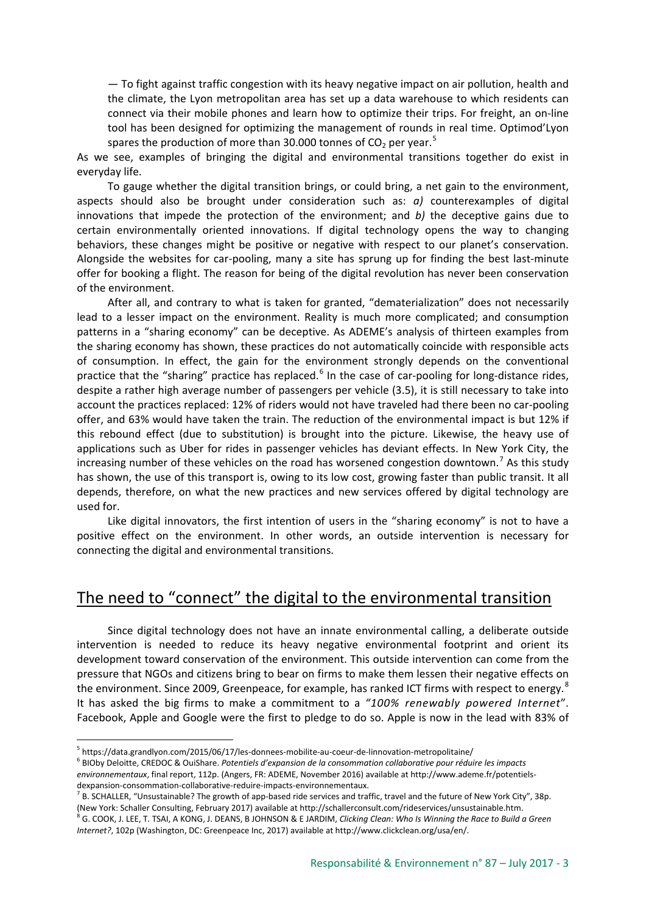— To fight against traffic congestion with its heavy negative impact on air pollution, health and the climate, the Lyon metropolitan area has set up a data warehouse to which residents can connect via their mobile phones and learn how to optimize their trips. For freight, an on-line tool has been designed for optimizing the management of rounds in real time. Optimod'Lyon spares the production of more than 30.000 tonnes of  $CO<sub>2</sub>$  per year.<sup>[5](#page-2-0)</sup>

As we see, examples of bringing the digital and environmental transitions together do exist in everyday life.

To gauge whether the digital transition brings, or could bring, a net gain to the environment, aspects should also be brought under consideration such as: *a)* counterexamples of digital innovations that impede the protection of the environment; and *b)* the deceptive gains due to certain environmentally oriented innovations. If digital technology opens the way to changing behaviors, these changes might be positive or negative with respect to our planet's conservation. Alongside the websites for car-pooling, many a site has sprung up for finding the best last-minute offer for booking a flight. The reason for being of the digital revolution has never been conservation of the environment.

After all, and contrary to what is taken for granted, "dematerialization" does not necessarily lead to a lesser impact on the environment. Reality is much more complicated; and consumption patterns in a "sharing economy" can be deceptive. As ADEME's analysis of thirteen examples from the sharing economy has shown, these practices do not automatically coincide with responsible acts of consumption. In effect, the gain for the environment strongly depends on the conventional practice that the "sharing" practice has replaced.<sup>[6](#page-2-1)</sup> In the case of car-pooling for long-distance rides, despite a rather high average number of passengers per vehicle (3.5), it is still necessary to take into account the practices replaced: 12% of riders would not have traveled had there been no car-pooling offer, and 63% would have taken the train. The reduction of the environmental impact is but 12% if this rebound effect (due to substitution) is brought into the picture. Likewise, the heavy use of applications such as Uber for rides in passenger vehicles has deviant effects. In New York City, the increasing number of these vehicles on the road has worsened congestion downtown.<sup>[7](#page-2-2)</sup> As this study has shown, the use of this transport is, owing to its low cost, growing faster than public transit. It all depends, therefore, on what the new practices and new services offered by digital technology are used for.

Like digital innovators, the first intention of users in the "sharing economy" is not to have a positive effect on the environment. In other words, an outside intervention is necessary for connecting the digital and environmental transitions.

### The need to "connect" the digital to the environmental transition

Since digital technology does not have an innate environmental calling, a deliberate outside intervention is needed to reduce its heavy negative environmental footprint and orient its development toward conservation of the environment. This outside intervention can come from the pressure that NGOs and citizens bring to bear on firms to make them lessen their negative effects on the environment. Since 2009, Greenpeace, for example, has ranked ICT firms with respect to energy.<sup>[8](#page-2-3)</sup> It has asked the big firms to make a commitment to a *"100% renewably powered Internet*". Facebook, Apple and Google were the first to pledge to do so. Apple is now in the lead with 83% of

<span id="page-2-0"></span><sup>5</sup> https://data.grandlyon.com/2015/06/17/les-donnees-mobilite-au-coeur-de-linnovation-metropolitaine/

<span id="page-2-1"></span><sup>6</sup> BIOby Deloitte, CREDOC & OuiShare. *Potentiels d'expansion de la consommation collaborative pour réduire les impacts environnementaux*, final report, 112p. (Angers, FR: ADEME, November 2016) available at http://www.ademe.fr/potentielsdexpansion-consommation-collaborative-reduire-impacts-environnementaux.

<span id="page-2-2"></span> $^7$  B. SCHALLER, "Unsustainable? The growth of app-based ride services and traffic, travel and the future of New York City", 38p. (New York: Schaller Consulting, February 2017) available at http://schallerconsult.com/rideservices/unsustainable.htm.

<span id="page-2-3"></span><sup>8</sup> G. COOK, J. LEE, T. TSAI, A KONG, J. DEANS, B JOHNSON & E JARDIM, *Clicking Clean: Who Is Winning the Race to Build a Green Internet?*, 102p (Washington, DC: Greenpeace Inc, 2017) available at http://www.clickclean.org/usa/en/.